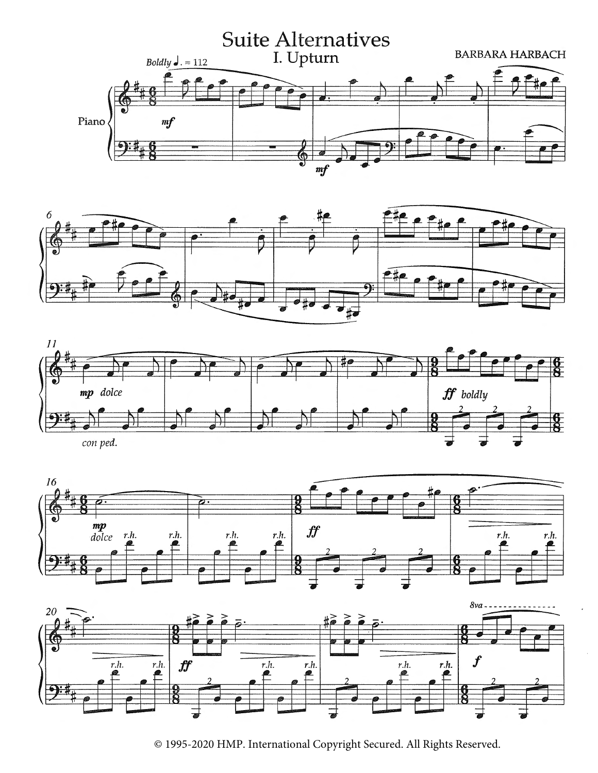









<sup>© 1995-2020</sup> HMP. International Copyright Secured. All Rights Reserved.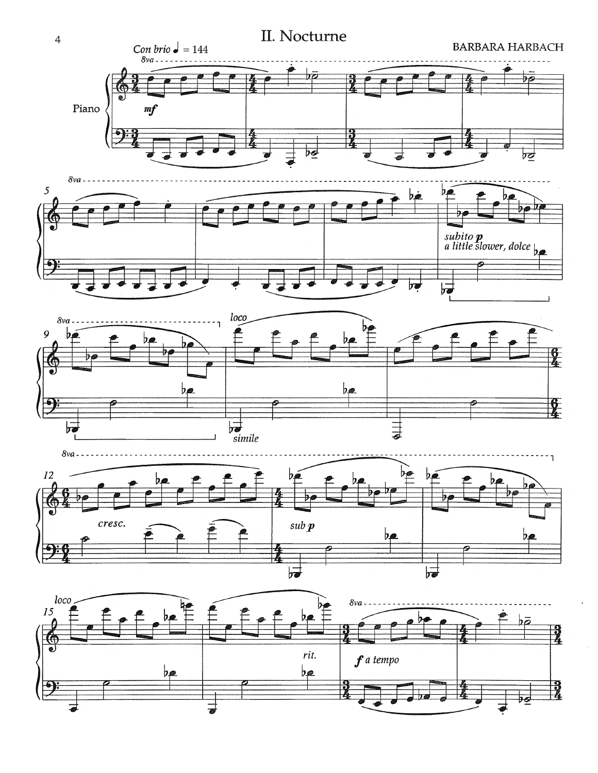